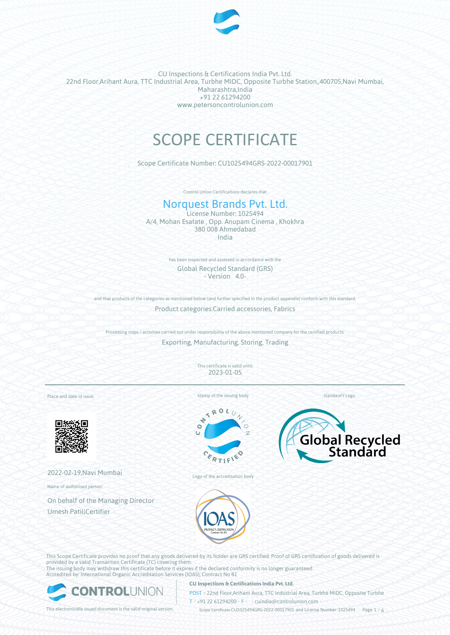

# SCOPE CERTIFICATE

Scope Certificate Number: CU1025494GRS-2022-00017901

Control Union Certifications declares that

## Norquest Brands Pvt. Ltd.

License Number: 1025494 A/4, Mohan Esatate , Opp. Anupam Cinema , Khokhra 380 008 Ahmedabad India

> has been inspected and assessed in accordance with the Global Recycled Standard (GRS) - Version 4.0-

and that products of the categories as mentioned below (and further specified in the product appendix) conform with this standard Product categories:Carried accessories, Fabrics

Processing steps / activities carried out under responsibility of the above mentioned company for the certified products: Exporting, Manufacturing, Storing, Trading

> This certificate is valid until: 2023-01-05

Place and date of issue:



2022-02-19,Navi Mumbai

Name of authorised person:

On behalf of the Managing Director Umesh Patil|Certifier



 $x_0$ 





Logo of the accreditation body



This Scope Certificate provides no proof that any goods delivered by its holder are GRS certified. Proof of GRS certification of goods delivered is provided by a valid Transaction Certificate (TC) covering them. The issuing body may withdraw this certificate before it expires if the declared conformity is no longer guaranteed. Accredited by: International Organic Accreditation Services (IOAS); Contract No 81



#### **CU Inspections & Certifications India Pvt. Ltd.**

POST • 22nd Floor,Arihant Aura, TTC Industrial Area, Turbhe MIDC, Opposite Turbhe  $T \rightarrow 91 22 61294200$  **F** cuindia@controlunion.com •

This electronically issued document is the valid original version. Scope Certificate CU1025494GRS-2022-00017901 and License Number 1025494 Page 1 / 6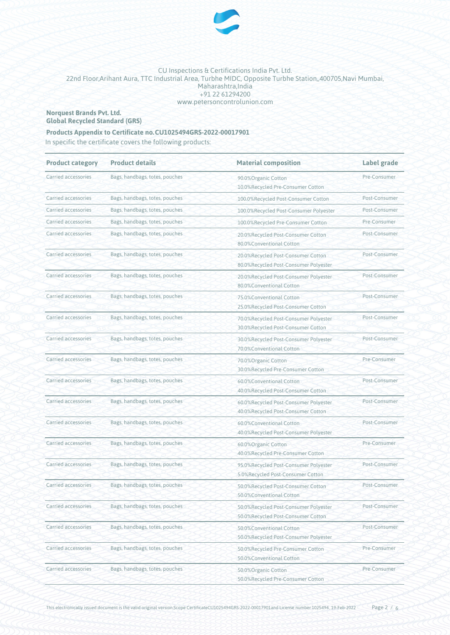

#### **Norquest Brands Pvt. Ltd. Global Recycled Standard (GRS)**

### **Products Appendix to Certificate no.CU1025494GRS-2022-00017901**

In specific the certificate covers the following products:

| <b>Product category</b> | <b>Product details</b>         | <b>Material composition</b>                                                 | <b>Label grade</b> |
|-------------------------|--------------------------------|-----------------------------------------------------------------------------|--------------------|
| Carried accessories     | Bags, handbags, totes, pouches | 90.0%Organic Cotton<br>10.0%Recycled Pre-Consumer Cotton                    |                    |
| Carried accessories     | Bags, handbags, totes, pouches | 100.0%Recycled Post-Consumer Cotton                                         | Post-Consumer      |
| Carried accessories     | Bags, handbags, totes, pouches | 100.0%Recycled Post-Consumer Polyester                                      | Post-Consumer      |
| Carried accessories     | Bags, handbags, totes, pouches | 100.0%Recycled Pre-Consumer Cotton                                          | Pre-Consumer       |
| Carried accessories     | Bags, handbags, totes, pouches | 20.0%Recycled Post-Consumer Cotton<br>80.0%Conventional Cotton              | Post-Consumer      |
| Carried accessories     | Bags, handbags, totes, pouches | 20.0%Recycled Post-Consumer Cotton<br>80.0%Recycled Post-Consumer Polyester | Post-Consumer      |
| Carried accessories     | Bags, handbags, totes, pouches | 20.0%Recycled Post-Consumer Polyester<br>80.0%Conventional Cotton           | Post-Consumer      |
| Carried accessories     | Bags, handbags, totes, pouches | 75.0%Conventional Cotton<br>25.0%Recycled Post-Consumer Cotton              | Post-Consumer      |
| Carried accessories     | Bags, handbags, totes, pouches | 70.0%Recycled Post-Consumer Polyester<br>30.0%Recycled Post-Consumer Cotton | Post-Consumer      |
| Carried accessories     | Bags, handbags, totes, pouches | 30.0%Recycled Post-Consumer Polyester<br>70.0%Conventional Cotton           | Post-Consumer      |
| Carried accessories     | Bags, handbags, totes, pouches | 70.0% Organic Cotton<br>30.0%Recycled Pre-Consumer Cotton                   | Pre-Consumer       |
| Carried accessories     | Bags, handbags, totes, pouches | 60.0%Conventional Cotton<br>40.0%Recycled Post-Consumer Cotton              | Post-Consumer      |
| Carried accessories     | Bags, handbags, totes, pouches | 60.0%Recycled Post-Consumer Polyester<br>40.0%Recycled Post-Consumer Cotton | Post-Consumer      |
| Carried accessories     | Bags, handbags, totes, pouches | 60.0%Conventional Cotton<br>40.0%Recycled Post-Consumer Polyester           | Post-Consumer      |
| Carried accessories     | Bags, handbags, totes, pouches | 60.0%Organic Cotton<br>40.0%Recycled Pre-Consumer Cotton                    | Pre-Consumer       |
| Carried accessories     | Bags, handbags, totes, pouches | 95.0%Recycled Post-Consumer Polyester<br>5.0%Recycled Post-Consumer Cotton  | Post-Consumer      |
| Carried accessories     | Bags, handbags, totes, pouches | 50.0%Recycled Post-Consumer Cotton<br>50.0%Conventional Cotton              | Post-Consumer      |
| Carried accessories     | Bags, handbags, totes, pouches | 50.0%Recycled Post-Consumer Polyester<br>50.0%Recycled Post-Consumer Cotton | Post-Consumer      |
| Carried accessories     | Bags, handbags, totes, pouches | 50.0%Conventional Cotton<br>50.0%Recycled Post-Consumer Polyester           | Post-Consumer      |
| Carried accessories     | Bags, handbags, totes, pouches | 50.0%Recycled Pre-Consumer Cotton<br>50.0%Conventional Cotton               | Pre-Consumer       |
| Carried accessories     | Bags, handbags, totes, pouches | 50.0%Organic Cotton<br>50.0%Recycled Pre-Consumer Cotton                    | Pre-Consumer       |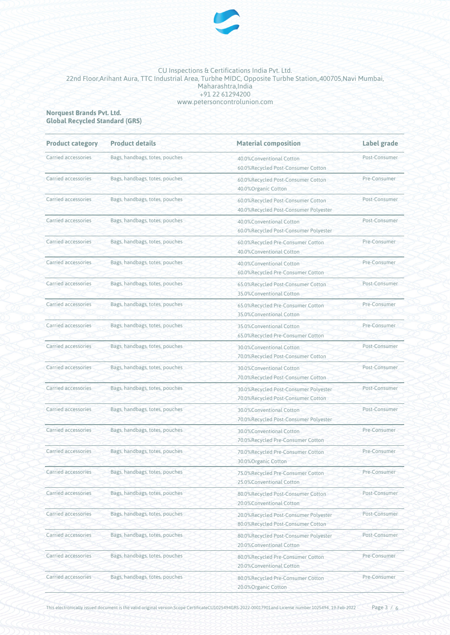

#### **Norquest Brands Pvt. Ltd. Global Recycled Standard (GRS)**

| <b>Product category</b> | <b>Product details</b>         | <b>Material composition</b>                                                 | Label grade   |
|-------------------------|--------------------------------|-----------------------------------------------------------------------------|---------------|
| Carried accessories     | Bags, handbags, totes, pouches | 40.0%Conventional Cotton<br>60.0%Recycled Post-Consumer Cotton              | Post-Consumer |
| Carried accessories     | Bags, handbags, totes, pouches | 60.0%Recycled Post-Consumer Cotton<br>40.0% Organic Cotton                  | Pre-Consumer  |
| Carried accessories     | Bags, handbags, totes, pouches | 60.0%Recycled Post-Consumer Cotton<br>40.0%Recycled Post-Consumer Polyester | Post-Consumer |
| Carried accessories     | Bags, handbags, totes, pouches | 40.0%Conventional Cotton<br>60.0%Recycled Post-Consumer Polyester           | Post-Consumer |
| Carried accessories     | Bags, handbags, totes, pouches | 60.0%Recycled Pre-Consumer Cotton<br>40.0%Conventional Cotton               | Pre-Consumer  |
| Carried accessories     | Bags, handbags, totes, pouches | 40.0%Conventional Cotton<br>60.0%Recycled Pre-Consumer Cotton               | Pre-Consumer  |
| Carried accessories     | Bags, handbags, totes, pouches | 65.0%Recycled Post-Consumer Cotton<br>35.0%Conventional Cotton              | Post-Consumer |
| Carried accessories     | Bags, handbags, totes, pouches | 65.0%Recycled Pre-Consumer Cotton<br>35.0%Conventional Cotton               | Pre-Consumer  |
| Carried accessories     | Bags, handbags, totes, pouches | 35.0%Conventional Cotton<br>65.0%Recycled Pre-Consumer Cotton               | Pre-Consumer  |
| Carried accessories     | Bags, handbags, totes, pouches | 30.0%Conventional Cotton<br>70.0%Recycled Post-Consumer Cotton              | Post-Consumer |
| Carried accessories     | Bags, handbags, totes, pouches | 30.0%Conventional Cotton<br>70.0%Recycled Post-Consumer Cotton              | Post-Consumer |
| Carried accessories     | Bags, handbags, totes, pouches | 30.0%Recycled Post-Consumer Polyester<br>70.0%Recycled Post-Consumer Cotton | Post-Consumer |
| Carried accessories     | Bags, handbags, totes, pouches | 30.0%Conventional Cotton<br>70.0%Recycled Post-Consumer Polyester           | Post-Consumer |
| Carried accessories     | Bags, handbags, totes, pouches | 30.0%Conventional Cotton<br>70.0%Recycled Pre-Consumer Cotton               | Pre-Consumer  |
| Carried accessories     | Bags, handbags, totes, pouches | 70.0%Recycled Pre-Consumer Cotton<br>30.0%Organic Cotton                    | Pre-Consumer  |
| Carried accessories     | Bags, handbags, totes, pouches | 75.0%Recycled Pre-Consumer Cotton<br>25.0%Conventional Cotton               | Pre-Consumer  |
| Carried accessories     | Bags, handbags, totes, pouches | 80.0%Recycled Post-Consumer Cotton<br>20.0%Conventional Cotton              | Post-Consumer |
| Carried accessories     | Bags, handbags, totes, pouches | 20.0%Recycled Post-Consumer Polyester<br>80.0%Recycled Post-Consumer Cotton | Post-Consumer |
| Carried accessories     | Bags, handbags, totes, pouches | 80.0%Recycled Post-Consumer Polyester<br>20.0%Conventional Cotton           | Post-Consumer |
| Carried accessories     | Bags, handbags, totes, pouches | 80.0%Recycled Pre-Consumer Cotton<br>20.0%Conventional Cotton               | Pre-Consumer  |
| Carried accessories     | Bags, handbags, totes, pouches | 80.0%Recycled Pre-Consumer Cotton<br>20.0%Organic Cotton                    | Pre-Consumer  |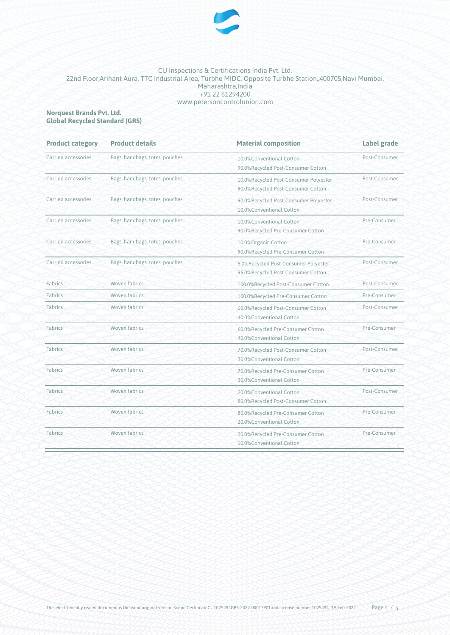

#### **Norquest Brands Pvt. Ltd. Global Recycled Standard (GRS)**

| <b>Product category</b> | <b>Product details</b>         | <b>Material composition</b>                                                 | Label grade<br>Post-Consumer |  |
|-------------------------|--------------------------------|-----------------------------------------------------------------------------|------------------------------|--|
| Carried accessories     | Bags, handbags, totes, pouches | 10.0%Conventional Cotton<br>90.0%Recycled Post-Consumer Cotton              |                              |  |
| Carried accessories     | Bags, handbags, totes, pouches | 10.0%Recycled Post-Consumer Polyester<br>90.0%Recycled Post-Consumer Cotton | Post-Consumer                |  |
| Carried accessories     | Bags, handbags, totes, pouches | 90.0%Recycled Post-Consumer Polyester<br>10.0%Conventional Cotton           | Post-Consumer                |  |
| Carried accessories     | Bags, handbags, totes, pouches | 10.0%Conventional Cotton<br>90.0%Recycled Pre-Consumer Cotton               | Pre-Consumer                 |  |
| Carried accessories     | Bags, handbags, totes, pouches | 10.0% Organic Cotton<br>90.0%Recycled Pre-Consumer Cotton                   | Pre-Consumer                 |  |
| Carried accessories     | Bags, handbags, totes, pouches | 5.0%Recycled Post-Consumer Polyester<br>95.0%Recycled Post-Consumer Cotton  | Post-Consumer                |  |
| Fabrics                 | <b>Woven fabrics</b>           | 100.0%Recycled Post-Consumer Cotton                                         | Post-Consumer                |  |
| Fabrics                 | Woven fabrics                  | 100.0%Recycled Pre-Consumer Cotton                                          | Pre-Consumer                 |  |
| Fabrics                 | <b>Woven fabrics</b>           | 60.0%Recycled Post-Consumer Cotton<br>40.0%Conventional Cotton              | Post-Consumer                |  |
| Fabrics                 | Woven fabrics                  | 60.0%Recycled Pre-Consumer Cotton<br>40.0%Conventional Cotton               | Pre-Consumer                 |  |
| Fabrics                 | Woven fabrics                  | 70.0%Recycled Post-Consumer Cotton<br>30.0%Conventional Cotton              | Post-Consumer                |  |
| Fabrics                 | <b>Woven fabrics</b>           | 70.0%Recycled Pre-Consumer Cotton<br>30.0%Conventional Cotton               | Pre-Consumer                 |  |
| Fabrics                 | Woven fabrics                  | 20.0%Conventional Cotton<br>80.0%Recycled Post-Consumer Cotton              | Post-Consumer                |  |
| Fabrics                 | Woven fabrics                  | 80.0%Recycled Pre-Consumer Cotton<br>20.0%Conventional Cotton               | Pre-Consumer                 |  |
| Fabrics                 | Woven fabrics                  | 90.0%Recycled Pre-Consumer Cotton<br>10.0%Conventional Cotton               | Pre-Consumer                 |  |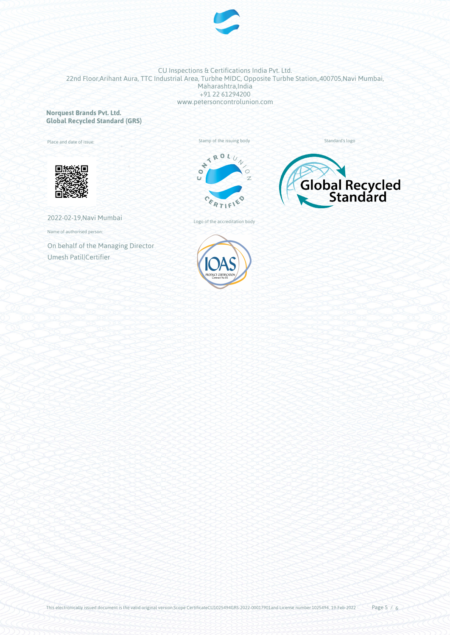

#### **Norquest Brands Pvt. Ltd. Global Recycled Standard (GRS)**

Place and date of issue:







Standard's logo

2022-02-19,Navi Mumbai

Name of authorised person:

On behalf of the Managing Director Umesh Patil|Certifier



Logo of the accreditation body